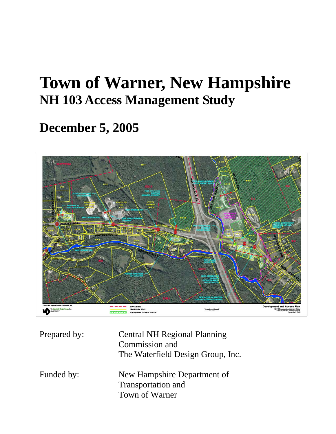# **Town of Warner, New Hampshire NH 103 Access Management Study**

# **December 5, 2005**



| Prepared by: | <b>Central NH Regional Planning</b><br>Commission and<br>The Waterfield Design Group, Inc. |
|--------------|--------------------------------------------------------------------------------------------|
| Funded by:   | New Hampshire Department of<br><b>Transportation and</b><br>Town of Warner                 |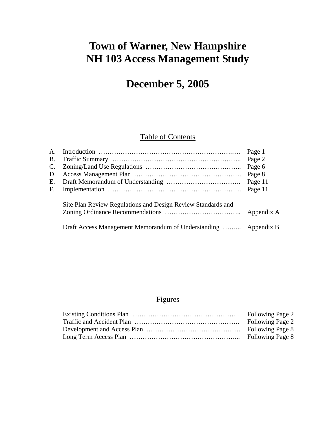# **Town of Warner, New Hampshire NH 103 Access Management Study**

# **December 5, 2005**

# Table of Contents

|    |                                                                 | Page 1     |
|----|-----------------------------------------------------------------|------------|
|    |                                                                 | Page 2     |
|    |                                                                 | Page 6     |
| D. |                                                                 | Page 8     |
|    |                                                                 | Page 11    |
| F. |                                                                 | Page 11    |
|    | Site Plan Review Regulations and Design Review Standards and    | Appendix A |
|    | Draft Access Management Memorandum of Understanding  Appendix B |            |

# Figures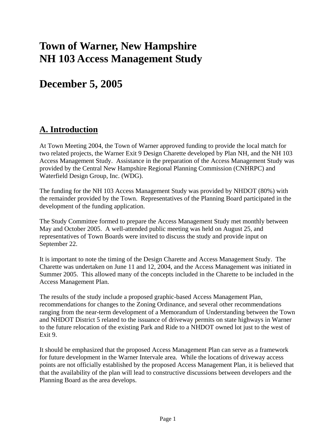# **Town of Warner, New Hampshire NH 103 Access Management Study**

# **December 5, 2005**

# **A. Introduction**

At Town Meeting 2004, the Town of Warner approved funding to provide the local match for two related projects, the Warner Exit 9 Design Charette developed by Plan NH, and the NH 103 Access Management Study. Assistance in the preparation of the Access Management Study was provided by the Central New Hampshire Regional Planning Commission (CNHRPC) and Waterfield Design Group, Inc. (WDG).

The funding for the NH 103 Access Management Study was provided by NHDOT (80%) with the remainder provided by the Town. Representatives of the Planning Board participated in the development of the funding application.

The Study Committee formed to prepare the Access Management Study met monthly between May and October 2005. A well-attended public meeting was held on August 25, and representatives of Town Boards were invited to discuss the study and provide input on September 22.

It is important to note the timing of the Design Charette and Access Management Study. The Charette was undertaken on June 11 and 12, 2004, and the Access Management was initiated in Summer 2005. This allowed many of the concepts included in the Charette to be included in the Access Management Plan.

The results of the study include a proposed graphic-based Access Management Plan, recommendations for changes to the Zoning Ordinance, and several other recommendations ranging from the near-term development of a Memorandum of Understanding between the Town and NHDOT District 5 related to the issuance of driveway permits on state highways in Warner to the future relocation of the existing Park and Ride to a NHDOT owned lot just to the west of Exit 9.

It should be emphasized that the proposed Access Management Plan can serve as a framework for future development in the Warner Intervale area. While the locations of driveway access points are not officially established by the proposed Access Management Plan, it is believed that that the availability of the plan will lead to constructive discussions between developers and the Planning Board as the area develops.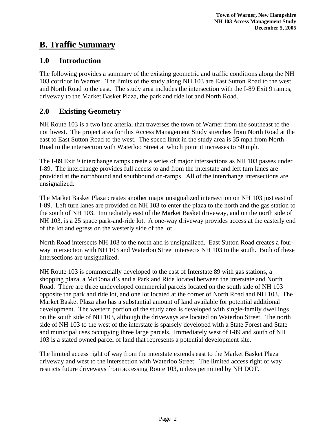# **B. Traffic Summary**

### **1.0 Introduction**

The following provides a summary of the existing geometric and traffic conditions along the NH 103 corridor in Warner. The limits of the study along NH 103 are East Sutton Road to the west and North Road to the east. The study area includes the intersection with the I-89 Exit 9 ramps, driveway to the Market Basket Plaza, the park and ride lot and North Road.

## **2.0 Existing Geometry**

NH Route 103 is a two lane arterial that traverses the town of Warner from the southeast to the northwest. The project area for this Access Management Study stretches from North Road at the east to East Sutton Road to the west. The speed limit in the study area is 35 mph from North Road to the intersection with Waterloo Street at which point it increases to 50 mph.

The I-89 Exit 9 interchange ramps create a series of major intersections as NH 103 passes under I-89. The interchange provides full access to and from the interstate and left turn lanes are provided at the northbound and southbound on-ramps. All of the interchange intersections are unsignalized.

The Market Basket Plaza creates another major unsignalized intersection on NH 103 just east of I-89. Left turn lanes are provided on NH 103 to enter the plaza to the north and the gas station to the south of NH 103. Immediately east of the Market Basket driveway, and on the north side of NH 103, is a 25 space park-and-ride lot. A one-way driveway provides access at the easterly end of the lot and egress on the westerly side of the lot.

North Road intersects NH 103 to the north and is unsignalized. East Sutton Road creates a fourway intersection with NH 103 and Waterloo Street intersects NH 103 to the south. Both of these intersections are unsignalized.

NH Route 103 is commercially developed to the east of Interstate 89 with gas stations, a shopping plaza, a McDonald's and a Park and Ride located between the interstate and North Road. There are three undeveloped commercial parcels located on the south side of NH 103 opposite the park and ride lot, and one lot located at the corner of North Road and NH 103. The Market Basket Plaza also has a substantial amount of land available for potential additional development. The western portion of the study area is developed with single-family dwellings on the south side of NH 103, although the driveways are located on Waterloo Street. The north side of NH 103 to the west of the interstate is sparsely developed with a State Forest and State and municipal uses occupying three large parcels. Immediately west of I-89 and south of NH 103 is a stated owned parcel of land that represents a potential development site.

The limited access right of way from the interstate extends east to the Market Basket Plaza driveway and west to the intersection with Waterloo Street. The limited access right of way restricts future driveways from accessing Route 103, unless permitted by NH DOT.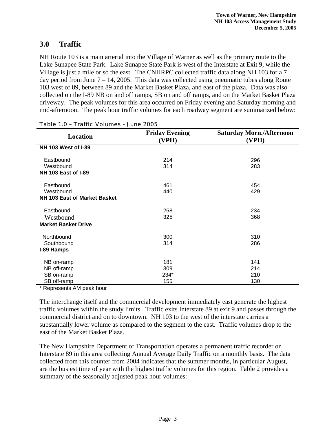### **3.0 Traffic**

NH Route 103 is a main arterial into the Village of Warner as well as the primary route to the Lake Sunapee State Park. Lake Sunapee State Park is west of the Interstate at Exit 9, while the Village is just a mile or so the east. The CNHRPC collected traffic data along NH 103 for a 7 day period from June  $7 - 14$ , 2005. This data was collected using pneumatic tubes along Route 103 west of 89, between 89 and the Market Basket Plaza, and east of the plaza. Data was also collected on the I-89 NB on and off ramps, SB on and off ramps, and on the Market Basket Plaza driveway. The peak volumes for this area occurred on Friday evening and Saturday morning and mid-afternoon. The peak hour traffic volumes for each roadway segment are summarized below:

| Location                     | <b>Friday Evening</b><br>(VPH) | <b>Saturday Morn./Afternoon</b><br>(VPH) |  |  |  |
|------------------------------|--------------------------------|------------------------------------------|--|--|--|
| <b>NH 103 West of I-89</b>   |                                |                                          |  |  |  |
| Eastbound                    | 214                            | 296                                      |  |  |  |
| Westbound                    | 314                            | 283                                      |  |  |  |
| <b>NH 103 East of I-89</b>   |                                |                                          |  |  |  |
| Eastbound                    | 461                            | 454                                      |  |  |  |
| Westbound                    | 440                            | 429                                      |  |  |  |
| NH 103 East of Market Basket |                                |                                          |  |  |  |
| Eastbound                    | 258                            | 234                                      |  |  |  |
| Westbound                    | 325                            | 368                                      |  |  |  |
| <b>Market Basket Drive</b>   |                                |                                          |  |  |  |
| Northbound                   | 300                            | 310                                      |  |  |  |
| Southbound                   | 314                            | 286                                      |  |  |  |
| I-89 Ramps                   |                                |                                          |  |  |  |
| NB on-ramp                   | 181                            | 141                                      |  |  |  |
| NB off-ramp                  | 309                            | 214                                      |  |  |  |
| SB on-ramp                   | 234*                           | 210                                      |  |  |  |
| SB off-ramp                  | 155                            | 130                                      |  |  |  |

|  |  | Table 1.0 - Traffic Volumes - June 2005 |
|--|--|-----------------------------------------|
|  |  |                                         |

\* Represents AM peak hour

The interchange itself and the commercial development immediately east generate the highest traffic volumes within the study limits. Traffic exits Interstate 89 at exit 9 and passes through the commercial district and on to downtown. NH 103 to the west of the interstate carries a substantially lower volume as compared to the segment to the east. Traffic volumes drop to the east of the Market Basket Plaza.

The New Hampshire Department of Transportation operates a permanent traffic recorder on Interstate 89 in this area collecting Annual Average Daily Traffic on a monthly basis. The data collected from this counter from 2004 indicates that the summer months, in particular August, are the busiest time of year with the highest traffic volumes for this region. Table 2 provides a summary of the seasonally adjusted peak hour volumes: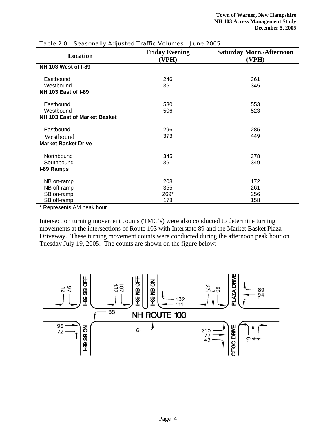| Location                            | <b>Friday Evening</b> | <b>Saturday Morn./Afternoon</b> |
|-------------------------------------|-----------------------|---------------------------------|
|                                     | (VPH)                 | (VPH)                           |
| <b>NH 103 West of I-89</b>          |                       |                                 |
|                                     |                       |                                 |
| Eastbound                           | 246                   | 361                             |
| Westbound                           | 361                   | 345                             |
| <b>NH 103 East of I-89</b>          |                       |                                 |
|                                     |                       |                                 |
| Eastbound                           | 530                   | 553                             |
| Westbound                           | 506                   | 523                             |
| <b>NH 103 East of Market Basket</b> |                       |                                 |
|                                     |                       |                                 |
| Eastbound                           | 296                   | 285                             |
| Westbound                           | 373                   | 449                             |
| <b>Market Basket Drive</b>          |                       |                                 |
|                                     |                       |                                 |
| Northbound                          | 345                   | 378                             |
| Southbound                          | 361                   | 349                             |
| I-89 Ramps                          |                       |                                 |
|                                     |                       |                                 |
| NB on-ramp                          | 208                   | 172                             |
| NB off-ramp                         | 355                   | 261                             |
| SB on-ramp                          | 269*                  | 256                             |
| SB off-ramp                         | 178                   | 158                             |

#### Table 2.0 – Seasonally Adjusted Traffic Volumes - June 2005

\* Represents AM peak hour

Intersection turning movement counts (TMC's) were also conducted to determine turning movements at the intersections of Route 103 with Interstate 89 and the Market Basket Plaza Driveway. These turning movement counts were conducted during the afternoon peak hour on Tuesday July 19, 2005. The counts are shown on the figure below:

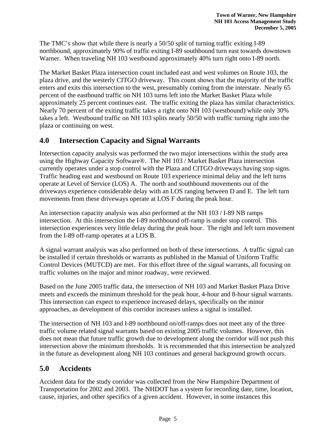The TMC's show that while there is nearly a 50/50 split of turning traffic exiting I-89 northbound, approximately 90% of traffic exiting I-89 southbound turn east towards downtown Warner. When traveling NH 103 westbound approximately 40% turn right onto I-89 north.

The Market Basket Plaza intersection count included east and west volumes on Route 103, the plaza drive, and the westerly CITGO driveway. This count shows that the majority of the traffic enters and exits this intersection to the west, presumably coming from the interstate. Nearly 65 percent of the eastbound traffic on NH 103 turns left into the Market Basket Plaza while approximately 25 percent continues east. The traffic exiting the plaza has similar characteristics. Nearly 70 percent of the exiting traffic takes a right onto NH 103 (westbound) while only 30% takes a left. Westbound traffic on NH 103 splits nearly 50/50 with traffic turning right into the plaza or continuing on west.

### **4.0 Intersection Capacity and Signal Warrants**

Intersection capacity analysis was performed the two major intersections within the study area using the Highway Capacity Software®. The NH 103 / Market Basket Plaza intersection currently operates under a stop control with the Plaza and CITGO driveways having stop signs. Traffic heading east and westbound on Route 103 experience minimal delay and the left turns operate at Level of Service (LOS) A. The north and southbound movements out of the driveways experience considerable delay with an LOS ranging between D and E. The left turn movements from these driveways operate at LOS F during the peak hour.

An intersection capacity analysis was also performed at the NH 103 / I-89 NB ramps intersection. At this intersection the I-89 northbound off-ramp is under stop control. This intersection experiences very little delay during the peak hour. The right and left turn movement from the I-89 off-ramp operates at a LOS B.

A signal warrant analysis was also performed on both of these intersections. A traffic signal can be installed if certain thresholds or warrants as published in the Manual of Uniform Traffic Control Devices (MUTCD) are met. For this effort three of the signal warrants, all focusing on traffic volumes on the major and minor roadway, were reviewed.

Based on the June 2005 traffic data, the intersection of NH 103 and Market Basket Plaza Drive meets and exceeds the minimum threshold for the peak hour, 4-hour and 8-hour signal warrants. This intersection can expect to experience increased delays, specifically on the minor approaches, as development of this corridor increases unless a signal is installed.

The intersection of NH 103 and I-89 northbound on/off-ramps does not meet any of the three traffic volume related signal warrants based on existing 2005 traffic volumes. However, this does not mean that future traffic growth due to development along the corridor will not push this intersection above the minimum thresholds. It is recommended that this intersection be analyzed in the future as development along NH 103 continues and general background growth occurs.

# **5.0 Accidents**

Accident data for the study corridor was collected from the New Hampshire Department of Transportation for 2002 and 2003. The NHDOT has a system for recording date, time, location, cause, injuries, and other specifics of a given accident. However, in some instances this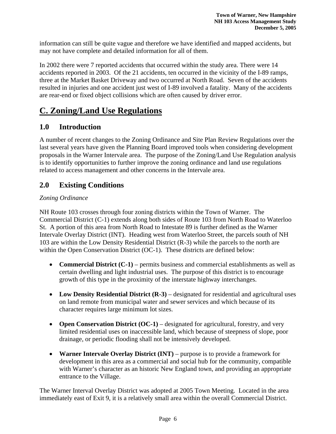information can still be quite vague and therefore we have identified and mapped accidents, but may not have complete and detailed information for all of them.

In 2002 there were 7 reported accidents that occurred within the study area. There were 14 accidents reported in 2003. Of the 21 accidents, ten occurred in the vicinity of the I-89 ramps, three at the Market Basket Driveway and two occurred at North Road. Seven of the accidents resulted in injuries and one accident just west of I-89 involved a fatality. Many of the accidents are rear-end or fixed object collisions which are often caused by driver error.

# **C. Zoning/Land Use Regulations**

## **1.0 Introduction**

A number of recent changes to the Zoning Ordinance and Site Plan Review Regulations over the last several years have given the Planning Board improved tools when considering development proposals in the Warner Intervale area. The purpose of the Zoning/Land Use Regulation analysis is to identify opportunities to further improve the zoning ordinance and land use regulations related to access management and other concerns in the Intervale area.

# **2.0 Existing Conditions**

### *Zoning Ordinance*

NH Route 103 crosses through four zoning districts within the Town of Warner. The Commercial District (C-1) extends along both sides of Route 103 from North Road to Waterloo St. A portion of this area from North Road to Intestate 89 is further defined as the Warner Intervale Overlay District (INT). Heading west from Waterloo Street, the parcels south of NH 103 are within the Low Density Residential District (R-3) while the parcels to the north are within the Open Conservation District (OC-1). These districts are defined below:

- **Commercial District (C-1)** permits business and commercial establishments as well as certain dwelling and light industrial uses. The purpose of this district is to encourage growth of this type in the proximity of the interstate highway interchanges.
- **Low Density Residential District (R-3)** designated for residential and agricultural uses on land remote from municipal water and sewer services and which because of its character requires large minimum lot sizes.
- **Open Conservation District (OC-1)** designated for agricultural, forestry, and very limited residential uses on inaccessible land, which because of steepness of slope, poor drainage, or periodic flooding shall not be intensively developed.
- **Warner Intervale Overlay District (INT)** purpose is to provide a framework for development in this area as a commercial and social hub for the community, compatible with Warner's character as an historic New England town, and providing an appropriate entrance to the Village.

The Warner Interval Overlay District was adopted at 2005 Town Meeting. Located in the area immediately east of Exit 9, it is a relatively small area within the overall Commercial District.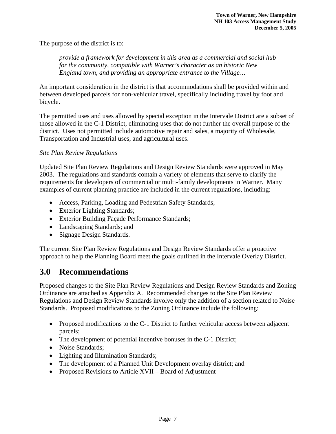The purpose of the district is to:

*provide a framework for development in this area as a commercial and social hub for the community, compatible with Warner's character as an historic New England town, and providing an appropriate entrance to the Village…* 

An important consideration in the district is that accommodations shall be provided within and between developed parcels for non-vehicular travel, specifically including travel by foot and bicycle.

The permitted uses and uses allowed by special exception in the Intervale District are a subset of those allowed in the C-1 District, eliminating uses that do not further the overall purpose of the district. Uses not permitted include automotive repair and sales, a majority of Wholesale, Transportation and Industrial uses, and agricultural uses.

### *Site Plan Review Regulations*

Updated Site Plan Review Regulations and Design Review Standards were approved in May 2003. The regulations and standards contain a variety of elements that serve to clarify the requirements for developers of commercial or multi-family developments in Warner. Many examples of current planning practice are included in the current regulations, including:

- Access, Parking, Loading and Pedestrian Safety Standards;
- Exterior Lighting Standards;
- Exterior Building Façade Performance Standards;
- Landscaping Standards; and
- Signage Design Standards.

The current Site Plan Review Regulations and Design Review Standards offer a proactive approach to help the Planning Board meet the goals outlined in the Intervale Overlay District.

# **3.0 Recommendations**

Proposed changes to the Site Plan Review Regulations and Design Review Standards and Zoning Ordinance are attached as Appendix A. Recommended changes to the Site Plan Review Regulations and Design Review Standards involve only the addition of a section related to Noise Standards. Proposed modifications to the Zoning Ordinance include the following:

- Proposed modifications to the C-1 District to further vehicular access between adjacent parcels;
- The development of potential incentive bonuses in the C-1 District;
- Noise Standards;
- Lighting and Illumination Standards;
- The development of a Planned Unit Development overlay district; and
- Proposed Revisions to Article XVII Board of Adjustment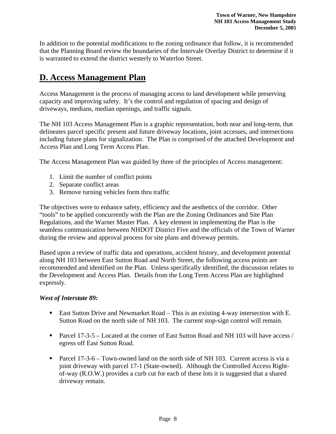In addition to the potential modifications to the zoning ordinance that follow, it is recommended that the Planning Board review the boundaries of the Intervale Overlay District to determine if it is warranted to extend the district westerly to Waterloo Street.

# **D. Access Management Plan**

Access Management is the process of managing access to land development while preserving capacity and improving safety. It's the control and regulation of spacing and design of driveways, medians, median openings, and traffic signals.

The NH 103 Access Management Plan is a graphic representation, both near and long-term, that delineates parcel specific present and future driveway locations, joint accesses, and intersections including future plans for signalization. The Plan is comprised of the attached Development and Access Plan and Long Term Access Plan.

The Access Management Plan was guided by three of the principles of Access management:

- 1. Limit the number of conflict points
- 2. Separate conflict areas
- 3. Remove turning vehicles form thru traffic

The objectives were to enhance safety, efficiency and the aesthetics of the corridor. Other "tools" to be applied concurrently with the Plan are the Zoning Ordinances and Site Plan Regulations, and the Warner Master Plan. A key element in implementing the Plan is the seamless communication between NHDOT District Five and the officials of the Town of Warner during the review and approval process for site plans and driveway permits.

Based upon a review of traffic data and operations, accident history, and development potential along NH 103 between East Sutton Road and North Street, the following access points are recommended and identified on the Plan. Unless specifically identified, the discussion relates to the Development and Access Plan. Details from the Long Term Access Plan are highlighted expressly.

### *West of Interstate 89:*

- East Sutton Drive and Newmarket Road This is an existing 4-way intersection with E. Sutton Road on the north side of NH 103. The current stop-sign control will remain.
- Parcel  $17-3-5$  Located at the corner of East Sutton Road and NH 103 will have access / egress off East Sutton Road.
- Parcel  $17-3-6$  Town-owned land on the north side of NH 103. Current access is via a joint driveway with parcel 17-1 (State-owned). Although the Controlled Access Rightof-way (R.O.W.) provides a curb cut for each of these lots it is suggested that a shared driveway remain.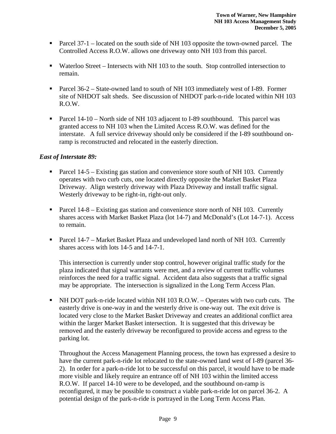- Parcel 37-1 located on the south side of NH 103 opposite the town-owned parcel. The Controlled Access R.O.W. allows one driveway onto NH 103 from this parcel.
- Waterloo Street Intersects with NH 103 to the south. Stop controlled intersection to remain.
- Parcel 36-2 State-owned land to south of NH 103 immediately west of I-89. Former site of NHDOT salt sheds. See discussion of NHDOT park-n-ride located within NH 103 R.O.W.
- Parcel 14-10 North side of NH 103 adjacent to I-89 southbound. This parcel was granted access to NH 103 when the Limited Access R.O.W. was defined for the interstate. A full service driveway should only be considered if the I-89 southbound onramp is reconstructed and relocated in the easterly direction.

### *East of Interstate 89:*

- Parcel 14-5 Existing gas station and convenience store south of NH 103. Currently operates with two curb cuts, one located directly opposite the Market Basket Plaza Driveway. Align westerly driveway with Plaza Driveway and install traffic signal. Westerly driveway to be right-in, right-out only.
- Parcel 14-8 Existing gas station and convenience store north of NH 103. Currently shares access with Market Basket Plaza (lot 14-7) and McDonald's (Lot 14-7-1). Access to remain.
- **Parcel 14-7 Market Basket Plaza and undeveloped land north of NH 103. Currently** shares access with lots 14-5 and 14-7-1.

This intersection is currently under stop control, however original traffic study for the plaza indicated that signal warrants were met, and a review of current traffic volumes reinforces the need for a traffic signal. Accident data also suggests that a traffic signal may be appropriate. The intersection is signalized in the Long Term Access Plan.

 NH DOT park-n-ride located within NH 103 R.O.W. – Operates with two curb cuts. The easterly drive is one-way in and the westerly drive is one-way out. The exit drive is located very close to the Market Basket Driveway and creates an additional conflict area within the larger Market Basket intersection. It is suggested that this driveway be removed and the easterly driveway be reconfigured to provide access and egress to the parking lot.

Throughout the Access Management Planning process, the town has expressed a desire to have the current park-n-ride lot relocated to the state-owned land west of I-89 (parcel 36- 2). In order for a park-n-ride lot to be successful on this parcel, it would have to be made more visible and likely require an entrance off of NH 103 within the limited access R.O.W. If parcel 14-10 were to be developed, and the southbound on-ramp is reconfigured, it may be possible to construct a viable park-n-ride lot on parcel 36-2. A potential design of the park-n-ride is portrayed in the Long Term Access Plan.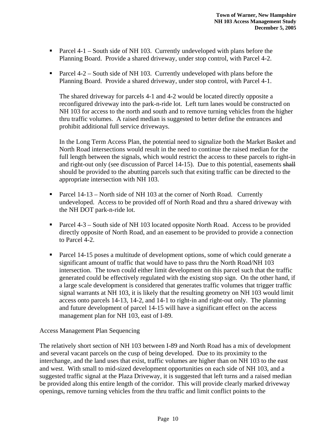- Parcel  $4-1$  South side of NH 103. Currently undeveloped with plans before the Planning Board. Provide a shared driveway, under stop control, with Parcel 4-2.
- Parcel  $4-2$  South side of NH 103. Currently undeveloped with plans before the Planning Board. Provide a shared driveway, under stop control, with Parcel 4-1.

The shared driveway for parcels 4-1 and 4-2 would be located directly opposite a reconfigured driveway into the park-n-ride lot. Left turn lanes would be constructed on NH 103 for access to the north and south and to remove turning vehicles from the higher thru traffic volumes. A raised median is suggested to better define the entrances and prohibit additional full service driveways.

In the Long Term Access Plan, the potential need to signalize both the Market Basket and North Road intersections would result in the need to continue the raised median for the full length between the signals, which would restrict the access to these parcels to right-in and right-out only (see discussion of Parcel 14-15). Due to this potential, easements shall should be provided to the abutting parcels such that exiting traffic can be directed to the appropriate intersection with NH 103.

- Parcel  $14-13$  North side of NH 103 at the corner of North Road. Currently undeveloped. Access to be provided off of North Road and thru a shared driveway with the NH DOT park-n-ride lot.
- Parcel 4-3 South side of NH 103 located opposite North Road. Access to be provided directly opposite of North Road, and an easement to be provided to provide a connection to Parcel 4-2.
- Parcel 14-15 poses a multitude of development options, some of which could generate a significant amount of traffic that would have to pass thru the North Road/NH 103 intersection. The town could either limit development on this parcel such that the traffic generated could be effectively regulated with the existing stop sign. On the other hand, if a large scale development is considered that generates traffic volumes that trigger traffic signal warrants at NH 103, it is likely that the resulting geometry on NH 103 would limit access onto parcels 14-13, 14-2, and 14-1 to right-in and right-out only. The planning and future development of parcel 14-15 will have a significant effect on the access management plan for NH 103, east of I-89.

### Access Management Plan Sequencing

The relatively short section of NH 103 between I-89 and North Road has a mix of development and several vacant parcels on the cusp of being developed. Due to its proximity to the interchange, and the land uses that exist, traffic volumes are higher than on NH 103 to the east and west. With small to mid-sized development opportunities on each side of NH 103, and a suggested traffic signal at the Plaza Driveway, it is suggested that left turns and a raised median be provided along this entire length of the corridor. This will provide clearly marked driveway openings, remove turning vehicles from the thru traffic and limit conflict points to the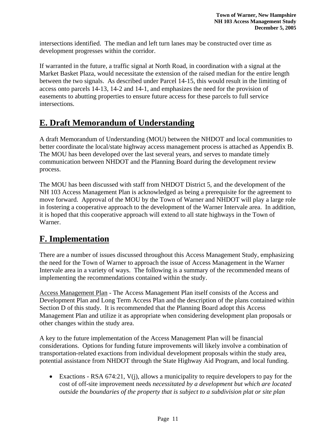intersections identified. The median and left turn lanes may be constructed over time as development progresses within the corridor.

If warranted in the future, a traffic signal at North Road, in coordination with a signal at the Market Basket Plaza, would necessitate the extension of the raised median for the entire length between the two signals. As described under Parcel 14-15, this would result in the limiting of access onto parcels 14-13, 14-2 and 14-1, and emphasizes the need for the provision of easements to abutting properties to ensure future access for these parcels to full service intersections.

# **E. Draft Memorandum of Understanding**

A draft Memorandum of Understanding (MOU) between the NHDOT and local communities to better coordinate the local/state highway access management process is attached as Appendix B. The MOU has been developed over the last several years, and serves to mandate timely communication between NHDOT and the Planning Board during the development review process.

The MOU has been discussed with staff from NHDOT District 5, and the development of the NH 103 Access Management Plan is acknowledged as being a prerequisite for the agreement to move forward. Approval of the MOU by the Town of Warner and NHDOT will play a large role in fostering a cooperative approach to the development of the Warner Intervale area. In addition, it is hoped that this cooperative approach will extend to all state highways in the Town of Warner.

# **F. Implementation**

There are a number of issues discussed throughout this Access Management Study, emphasizing the need for the Town of Warner to approach the issue of Access Management in the Warner Intervale area in a variety of ways. The following is a summary of the recommended means of implementing the recommendations contained within the study.

Access Management Plan - The Access Management Plan itself consists of the Access and Development Plan and Long Term Access Plan and the description of the plans contained within Section D of this study. It is recommended that the Planning Board adopt this Access Management Plan and utilize it as appropriate when considering development plan proposals or other changes within the study area.

A key to the future implementation of the Access Management Plan will be financial considerations. Options for funding future improvements will likely involve a combination of transportation-related exactions from individual development proposals within the study area, potential assistance from NHDOT through the State Highway Aid Program, and local funding.

• Exactions - RSA 674:21, V(j), allows a municipality to require developers to pay for the cost of off-site improvement needs *necessitated by a development but which are located outside the boundaries of the property that is subject to a subdivision plat or site plan*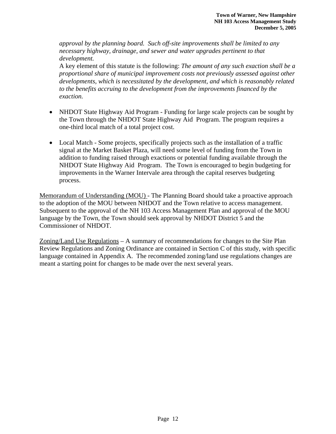*approval by the planning board. Such off-site improvements shall be limited to any necessary highway, drainage, and sewer and water upgrades pertinent to that development.*

A key element of this statute is the following: *The amount of any such exaction shall be a proportional share of municipal improvement costs not previously assessed against other developments, which is necessitated by the development, and which is reasonably related to the benefits accruing to the development from the improvements financed by the exaction.*

- NHDOT State Highway Aid Program Funding for large scale projects can be sought by the Town through the NHDOT State Highway Aid Program. The program requires a one-third local match of a total project cost.
- Local Match Some projects, specifically projects such as the installation of a traffic signal at the Market Basket Plaza, will need some level of funding from the Town in addition to funding raised through exactions or potential funding available through the NHDOT State Highway Aid Program. The Town is encouraged to begin budgeting for improvements in the Warner Intervale area through the capital reserves budgeting process.

Memorandum of Understanding (MOU) - The Planning Board should take a proactive approach to the adoption of the MOU between NHDOT and the Town relative to access management. Subsequent to the approval of the NH 103 Access Management Plan and approval of the MOU language by the Town, the Town should seek approval by NHDOT District 5 and the Commissioner of NHDOT.

Zoning/Land Use Regulations – A summary of recommendations for changes to the Site Plan Review Regulations and Zoning Ordinance are contained in Section C of this study, with specific language contained in Appendix A. The recommended zoning/land use regulations changes are meant a starting point for changes to be made over the next several years.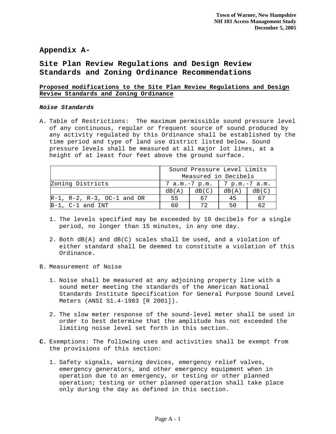### **Appendix A-**

### **Site Plan Review Regulations and Design Review Standards and Zoning Ordinance Recommendations**

### **Proposed modifications to the Site Plan Review Regulations and Design Review Standards and Zoning Ordinance**

#### *Noise Standards*

A. Table of Restrictions: The maximum permissible sound pressure level of any continuous, regular or frequent source of sound produced by any activity regulated by this Ordinance shall be established by the time period and type of land use district listed below. Sound pressure levels shall be measured at all major lot lines, at a height of at least four feet above the ground surface.

|                                         | Sound Pressure Level Limits<br>Measured in Decibels |       |       |       |
|-----------------------------------------|-----------------------------------------------------|-------|-------|-------|
|                                         |                                                     |       |       |       |
| Zoning Districts                        | 7 a.m.-7 p.m.   7 p.m.-7 a.m.                       |       |       |       |
|                                         | dB(A)                                               | dB(C) | dB(A) | dB(C) |
| $R-1$ , $R-2$ , $R-3$ , $OC-1$ and $OR$ | 55                                                  | 67    | 45    | 67    |
| $B-1$ , C-1 and INT                     | 60                                                  | ワウ    | 50    | 62    |

- 1. The levels specified may be exceeded by 10 decibels for a single period, no longer than 15 minutes, in any one day.
- 2. Both dB(A) and dB(C) scales shall be used, and a violation of either standard shall be deemed to constitute a violation of this Ordinance.
- B. Measurement of Noise
	- 1. Noise shall be measured at any adjoining property line with a sound meter meeting the standards of the American National Standards Institute Specification for General Purpose Sound Level Meters (ANSI S1.4-1983 [R 2001]).
	- 2. The slow meter response of the sound-level meter shall be used in order to best determine that the amplitude has not exceeded the limiting noise level set forth in this section.
- **C.** Exemptions: The following uses and activities shall be exempt from the provisions of this section:
	- 1. Safety signals, warning devices, emergency relief valves, emergency generators, and other emergency equipment when in operation due to an emergency, or testing or other planned operation; testing or other planned operation shall take place only during the day as defined in this section.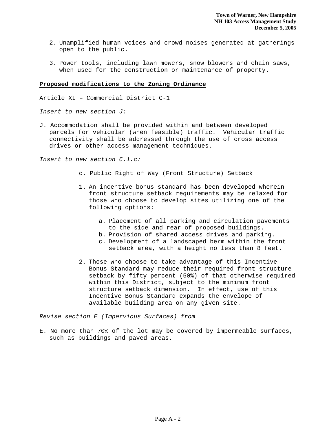- 2. Unamplified human voices and crowd noises generated at gatherings open to the public.
- 3. Power tools, including lawn mowers, snow blowers and chain saws, when used for the construction or maintenance of property.

#### **Proposed modifications to the Zoning Ordinance**

Article XI – Commercial District C-1

*Insert to new section J:* 

J. Accommodation shall be provided within and between developed parcels for vehicular (when feasible) traffic. Vehicular traffic connectivity shall be addressed through the use of cross access drives or other access management techniques.

*Insert to new section C.1.c:* 

- c. Public Right of Way (Front Structure) Setback
- 1. An incentive bonus standard has been developed wherein front structure setback requirements may be relaxed for those who choose to develop sites utilizing one of the following options:
	- a. Placement of all parking and circulation pavements to the side and rear of proposed buildings.
	- b. Provision of shared access drives and parking.
	- c. Development of a landscaped berm within the front setback area, with a height no less than 8 feet.
- 2. Those who choose to take advantage of this Incentive Bonus Standard may reduce their required front structure setback by fifty percent (50%) of that otherwise required within this District, subject to the minimum front structure setback dimension. In effect, use of this Incentive Bonus Standard expands the envelope of available building area on any given site.

*Revise section E (Impervious Surfaces) from* 

E. No more than 70% of the lot may be covered by impermeable surfaces, such as buildings and paved areas.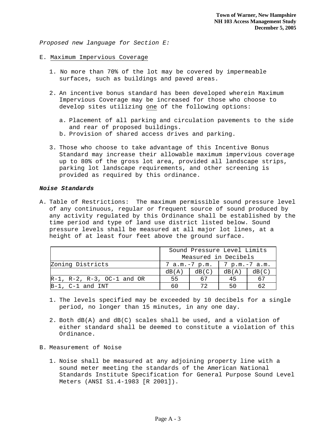*Proposed new language for Section E:* 

#### E. Maximum Impervious Coverage

- 1. No more than 70% of the lot may be covered by impermeable surfaces, such as buildings and paved areas.
- 2. An incentive bonus standard has been developed wherein Maximum Impervious Coverage may be increased for those who choose to develop sites utilizing one of the following options:
	- a. Placement of all parking and circulation pavements to the side and rear of proposed buildings.
	- b. Provision of shared access drives and parking.
- 3. Those who choose to take advantage of this Incentive Bonus Standard may increase their allowable maximum impervious coverage up to 80% of the gross lot area, provided all landscape strips, parking lot landscape requirements, and other screening is provided as required by this ordinance.

#### *Noise Standards*

A. Table of Restrictions: The maximum permissible sound pressure level of any continuous, regular or frequent source of sound produced by any activity regulated by this Ordinance shall be established by the time period and type of land use district listed below. Sound pressure levels shall be measured at all major lot lines, at a height of at least four feet above the ground surface.

|                                         | Sound Pressure Level Limits<br>Measured in Decibels |       |       |       |
|-----------------------------------------|-----------------------------------------------------|-------|-------|-------|
| Zoning Districts                        | 7 a.m.-7 p.m.   7 p.m.-7 a.m.                       |       |       |       |
|                                         | dB(A)                                               | dB(C) | dB(A) | dB(C) |
| $R-1$ , $R-2$ , $R-3$ , $OC-1$ and $OR$ | 55                                                  | 67    | 45    | 67    |
| $B-1$ , C-1 and INT                     | 6 C                                                 | ワク    | 50    | 62    |

- 1. The levels specified may be exceeded by 10 decibels for a single period, no longer than 15 minutes, in any one day.
- 2. Both dB(A) and dB(C) scales shall be used, and a violation of either standard shall be deemed to constitute a violation of this Ordinance.
- B. Measurement of Noise
	- 1. Noise shall be measured at any adjoining property line with a sound meter meeting the standards of the American National Standards Institute Specification for General Purpose Sound Level Meters (ANSI S1.4-1983 [R 2001]).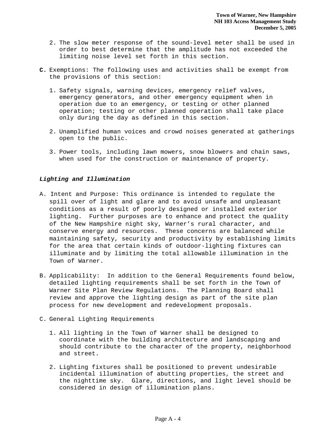- 2. The slow meter response of the sound-level meter shall be used in order to best determine that the amplitude has not exceeded the limiting noise level set forth in this section.
- **C.** Exemptions: The following uses and activities shall be exempt from the provisions of this section:
	- 1. Safety signals, warning devices, emergency relief valves, emergency generators, and other emergency equipment when in operation due to an emergency, or testing or other planned operation; testing or other planned operation shall take place only during the day as defined in this section.
	- 2. Unamplified human voices and crowd noises generated at gatherings open to the public.
	- 3. Power tools, including lawn mowers, snow blowers and chain saws, when used for the construction or maintenance of property.

#### *Lighting and Illumination*

- A. Intent and Purpose: This ordinance is intended to regulate the spill over of light and glare and to avoid unsafe and unpleasant conditions as a result of poorly designed or installed exterior lighting. Further purposes are to enhance and protect the quality of the New Hampshire night sky, Warner's rural character, and conserve energy and resources. These concerns are balanced while maintaining safety, security and productivity by establishing limits for the area that certain kinds of outdoor-lighting fixtures can illuminate and by limiting the total allowable illumination in the Town of Warner.
- B. Applicability: In addition to the General Requirements found below, detailed lighting requirements shall be set forth in the Town of Warner Site Plan Review Regulations. The Planning Board shall review and approve the lighting design as part of the site plan process for new development and redevelopment proposals.
- C. General Lighting Requirements
	- 1. All lighting in the Town of Warner shall be designed to coordinate with the building architecture and landscaping and should contribute to the character of the property, neighborhood and street.
	- 2. Lighting fixtures shall be positioned to prevent undesirable incidental illumination of abutting properties, the street and the nighttime sky. Glare, directions, and light level should be considered in design of illumination plans.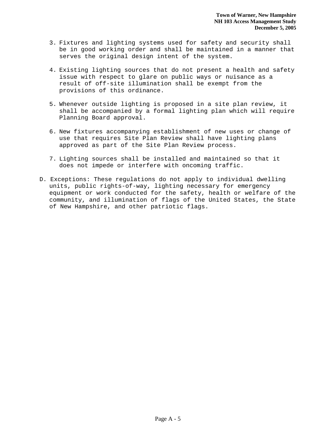- 3. Fixtures and lighting systems used for safety and security shall be in good working order and shall be maintained in a manner that serves the original design intent of the system.
- 4. Existing lighting sources that do not present a health and safety issue with respect to glare on public ways or nuisance as a result of off-site illumination shall be exempt from the provisions of this ordinance.
- 5. Whenever outside lighting is proposed in a site plan review, it shall be accompanied by a formal lighting plan which will require Planning Board approval.
- 6. New fixtures accompanying establishment of new uses or change of use that requires Site Plan Review shall have lighting plans approved as part of the Site Plan Review process.
- 7. Lighting sources shall be installed and maintained so that it does not impede or interfere with oncoming traffic.
- D. Exceptions: These regulations do not apply to individual dwelling units, public rights-of-way, lighting necessary for emergency equipment or work conducted for the safety, health or welfare of the community, and illumination of flags of the United States, the State of New Hampshire, and other patriotic flags.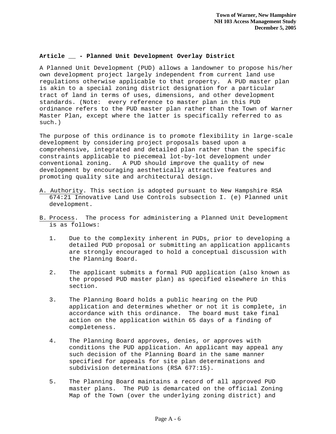#### **Article \_\_ - Planned Unit Development Overlay District**

A Planned Unit Development (PUD) allows a landowner to propose his/her own development project largely independent from current land use regulations otherwise applicable to that property. A PUD master plan is akin to a special zoning district designation for a particular tract of land in terms of uses, dimensions, and other development standards. (Note: every reference to master plan in this PUD ordinance refers to the PUD master plan rather than the Town of Warner Master Plan, except where the latter is specifically referred to as such.)

The purpose of this ordinance is to promote flexibility in large-scale development by considering project proposals based upon a comprehensive, integrated and detailed plan rather than the specific constraints applicable to piecemeal lot-by-lot development under conventional zoning. A PUD should improve the quality of new development by encouraging aesthetically attractive features and promoting quality site and architectural design.

- A. Authority. This section is adopted pursuant to New Hampshire RSA 674:21 Innovative Land Use Controls subsection I. (e) Planned unit development.
- B. Process. The process for administering a Planned Unit Development is as follows:
	- 1. Due to the complexity inherent in PUDs, prior to developing a detailed PUD proposal or submitting an application applicants are strongly encouraged to hold a conceptual discussion with the Planning Board.
	- 2. The applicant submits a formal PUD application (also known as the proposed PUD master plan) as specified elsewhere in this section.
	- 3. The Planning Board holds a public hearing on the PUD application and determines whether or not it is complete, in accordance with this ordinance. The board must take final action on the application within 65 days of a finding of completeness.
	- 4. The Planning Board approves, denies, or approves with conditions the PUD application. An applicant may appeal any such decision of the Planning Board in the same manner specified for appeals for site plan determinations and subdivision determinations (RSA 677:15).
	- 5. The Planning Board maintains a record of all approved PUD master plans. The PUD is demarcated on the official Zoning Map of the Town (over the underlying zoning district) and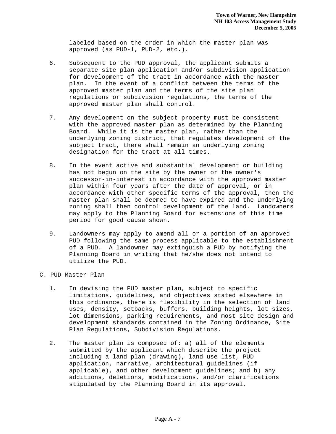labeled based on the order in which the master plan was approved (as PUD-1, PUD-2, etc.).

- 6. Subsequent to the PUD approval, the applicant submits a separate site plan application and/or subdivision application for development of the tract in accordance with the master plan. In the event of a conflict between the terms of the approved master plan and the terms of the site plan regulations or subdivision regulations, the terms of the approved master plan shall control.
- 7. Any development on the subject property must be consistent with the approved master plan as determined by the Planning Board. While it is the master plan, rather than the underlying zoning district, that regulates development of the subject tract, there shall remain an underlying zoning designation for the tract at all times.
- 8. In the event active and substantial development or building has not begun on the site by the owner or the owner's successor-in-interest in accordance with the approved master plan within four years after the date of approval, or in accordance with other specific terms of the approval, then the master plan shall be deemed to have expired and the underlying zoning shall then control development of the land. Landowners may apply to the Planning Board for extensions of this time period for good cause shown.
- 9. Landowners may apply to amend all or a portion of an approved PUD following the same process applicable to the establishment of a PUD. A landowner may extinguish a PUD by notifying the Planning Board in writing that he/she does not intend to utilize the PUD.
- C. PUD Master Plan
	- 1. In devising the PUD master plan, subject to specific limitations, guidelines, and objectives stated elsewhere in this ordinance, there is flexibility in the selection of land uses, density, setbacks, buffers, building heights, lot sizes, lot dimensions, parking requirements, and most site design and development standards contained in the Zoning Ordinance, Site Plan Regulations, Subdivision Regulations.
	- 2. The master plan is composed of: a) all of the elements submitted by the applicant which describe the project including a land plan (drawing), land use list, PUD application, narrative, architectural guidelines (if applicable), and other development guidelines; and b) any additions, deletions, modifications, and/or clarifications stipulated by the Planning Board in its approval.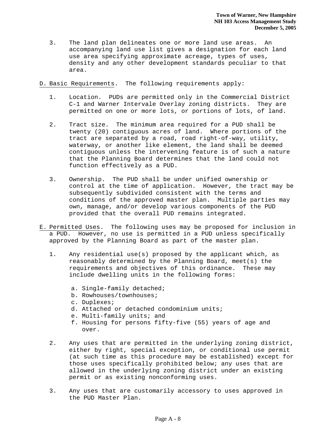- 3. The land plan delineates one or more land use areas. An accompanying land use list gives a designation for each land use area specifying approximate acreage, types of uses, density and any other development standards peculiar to that area.
- D. Basic Requirements. The following requirements apply:
	- 1. Location. PUDs are permitted only in the Commercial District C-1 and Warner Intervale Overlay zoning districts. They are permitted on one or more lots, or portions of lots, of land.
	- 2. Tract size. The minimum area required for a PUD shall be twenty (20) contiguous acres of land. Where portions of the tract are separated by a road, road right-of-way, utility, waterway, or another like element, the land shall be deemed contiguous unless the intervening feature is of such a nature that the Planning Board determines that the land could not function effectively as a PUD.
	- 3. Ownership. The PUD shall be under unified ownership or control at the time of application. However, the tract may be subsequently subdivided consistent with the terms and conditions of the approved master plan. Multiple parties may own, manage, and/or develop various components of the PUD provided that the overall PUD remains integrated.
- E. Permitted Uses. The following uses may be proposed for inclusion in a PUD. However, no use is permitted in a PUD unless specifically approved by the Planning Board as part of the master plan.
	- 1. Any residential use(s) proposed by the applicant which, as reasonably determined by the Planning Board, meet(s) the requirements and objectives of this ordinance. These may include dwelling units in the following forms:
		- a. Single-family detached;
		- b. Rowhouses/townhouses;
		- c. Duplexes;
		- d. Attached or detached condominium units;
		- e. Multi-family units; and
		- f. Housing for persons fifty-five (55) years of age and over.
	- 2. Any uses that are permitted in the underlying zoning district, either by right, special exception, or conditional use permit (at such time as this procedure may be established) except for those uses specifically prohibited below; any uses that are allowed in the underlying zoning district under an existing permit or as existing nonconforming uses.
	- 3. Any uses that are customarily accessory to uses approved in the PUD Master Plan.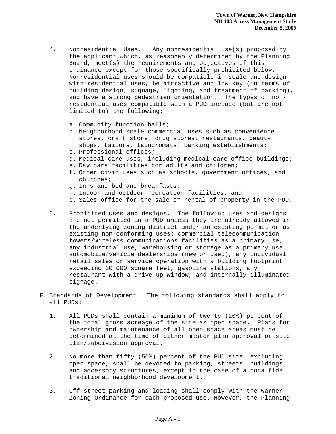- 4. Nonresidential Uses. Any nonresidential use(s) proposed by the applicant which, as reasonably determined by the Planning Board, meet(s) the requirements and objectives of this ordinance except for those specifically prohibited below. Nonresidential uses should be compatible in scale and design with residential uses, be attractive and low key (in terms of building design, signage, lighting, and treatment of parking), and have a strong pedestrian orientation. The types of nonresidential uses compatible with a PUD include (but are not limited to) the following:
	- a. Community function halls;
	- b. Neighborhood scale commercial uses such as convenience stores, craft store, drug stores, restaurants, beauty shops, tailors, laundromats, banking establishments;
	- c. Professional offices;
	- d. Medical care uses, including medical care office buildings;
	- e. Day care facilities for adults and children;
	- f. Other civic uses such as schools, government offices, and churches;
	- g. Inns and bed and breakfasts;
	- h. Indoor and outdoor recreation facilities; and
	- i. Sales office for the sale or rental of property in the PUD.
- 5. Prohibited uses and designs. The following uses and designs are not permitted in a PUD unless they are already allowed in the underlying zoning district under an existing permit or as existing non-conforming uses: commercial telecommunication towers/wireless communications facilities as a primary use, any industrial use, warehousing or storage as a primary use, automobile/vehicle dealerships (new or used), any individual retail sales or service operation with a building footprint exceeding 20,000 square feet, gasoline stations, any restaurant with a drive up window, and internally illuminated signage.
- F. Standards of Development. The following standards shall apply to all PUDs:
	- 1. All PUDs shall contain a minimum of twenty (20%) percent of the total gross acreage of the site as open space. Plans for ownership and maintenance of all open space areas must be determined at the time of either master plan approval or site plan/subdivision approval.
	- 2. No more than fifty (50%) percent of the PUD site, excluding open space, shall be devoted to parking, streets, buildings, and accessory structures, except in the case of a bona fide traditional neighborhood development.
	- 3. Off-street parking and loading shall comply with the Warner Zoning Ordinance for each proposed use. However, the Planning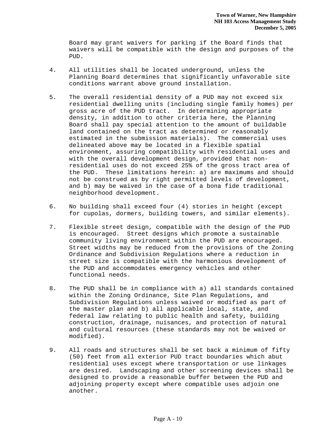Board may grant waivers for parking if the Board finds that waivers will be compatible with the design and purposes of the PUD.

- 4. All utilities shall be located underground, unless the Planning Board determines that significantly unfavorable site conditions warrant above ground installation.
- 5. The overall residential density of a PUD may not exceed six residential dwelling units (including single family homes) per gross acre of the PUD tract. In determining appropriate density, in addition to other criteria here, the Planning Board shall pay special attention to the amount of buildable land contained on the tract as determined or reasonably estimated in the submission materials). The commercial uses delineated above may be located in a flexible spatial environment, assuring compatibility with residential uses and with the overall development design, provided that nonresidential uses do not exceed 25% of the gross tract area of the PUD. These limitations herein: a) are maximums and should not be construed as by right permitted levels of development, and b) may be waived in the case of a bona fide traditional neighborhood development.
- 6. No building shall exceed four (4) stories in height (except for cupolas, dormers, building towers, and similar elements).
- 7. Flexible street design, compatible with the design of the PUD is encouraged. Street designs which promote a sustainable community living environment within the PUD are encouraged. Street widths may be reduced from the provisions of the Zoning Ordinance and Subdivision Regulations where a reduction in street size is compatible with the harmonious development of the PUD and accommodates emergency vehicles and other functional needs.
- 8. The PUD shall be in compliance with a) all standards contained within the Zoning Ordinance, Site Plan Regulations, and Subdivision Regulations unless waived or modified as part of the master plan and b) all applicable local, state, and federal law relating to public health and safety, building construction, drainage, nuisances, and protection of natural and cultural resources (these standards may not be waived or modified).
- 9. All roads and structures shall be set back a minimum of fifty (50) feet from all exterior PUD tract boundaries which abut residential uses except where transportation or use linkages are desired. Landscaping and other screening devices shall be designed to provide a reasonable buffer between the PUD and adjoining property except where compatible uses adjoin one another.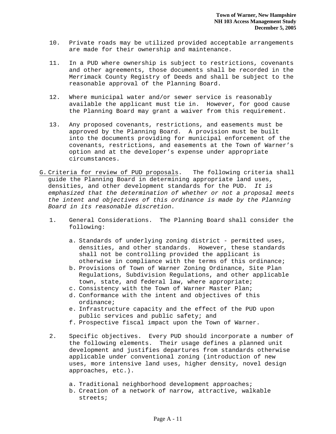- 10. Private roads may be utilized provided acceptable arrangements are made for their ownership and maintenance.
- 11. In a PUD where ownership is subject to restrictions, covenants and other agreements, those documents shall be recorded in the Merrimack County Registry of Deeds and shall be subject to the reasonable approval of the Planning Board.
- 12. Where municipal water and/or sewer service is reasonably available the applicant must tie in. However, for good cause the Planning Board may grant a waiver from this requirement.
- 13. Any proposed covenants, restrictions, and easements must be approved by the Planning Board. A provision must be built into the documents providing for municipal enforcement of the covenants, restrictions, and easements at the Town of Warner's option and at the developer's expense under appropriate circumstances.
- G. Criteria for review of PUD proposals. The following criteria shall guide the Planning Board in determining appropriate land uses, densities, and other development standards for the PUD*. It is emphasized that the determination of whether or not a proposal meets the intent and objectives of this ordinance is made by the Planning Board in its reasonable discretion.* 
	- 1. General Considerations. The Planning Board shall consider the following:
		- a. Standards of underlying zoning district permitted uses, densities, and other standards. However, these standards shall not be controlling provided the applicant is otherwise in compliance with the terms of this ordinance;
		- b. Provisions of Town of Warner Zoning Ordinance, Site Plan Regulations, Subdivision Regulations, and other applicable town, state, and federal law, where appropriate;
		- c. Consistency with the Town of Warner Master Plan;
		- d. Conformance with the intent and objectives of this ordinance;
		- e. Infrastructure capacity and the effect of the PUD upon public services and public safety; and
		- f. Prospective fiscal impact upon the Town of Warner.
	- 2. Specific objectives. Every PUD should incorporate a number of the following elements. Their usage defines a planned unit development and justifies departures from standards otherwise applicable under conventional zoning (introduction of new uses, more intensive land uses, higher density, novel design approaches, etc.).
		- a. Traditional neighborhood development approaches;
		- b. Creation of a network of narrow, attractive, walkable streets;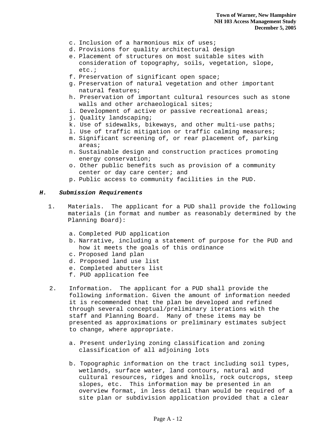- c. Inclusion of a harmonious mix of uses;
- d. Provisions for quality architectural design
- e. Placement of structures on most suitable sites with consideration of topography, soils, vegetation, slope, etc.;
- f. Preservation of significant open space;
- g. Preservation of natural vegetation and other important natural features;
- h. Preservation of important cultural resources such as stone walls and other archaeological sites;
- i. Development of active or passive recreational areas;
- j. Quality landscaping;
- k. Use of sidewalks, bikeways, and other multi-use paths;
- l. Use of traffic mitigation or traffic calming measures;
- m. Significant screening of, or rear placement of, parking areas;
- n. Sustainable design and construction practices promoting energy conservation;
- o. Other public benefits such as provision of a community center or day care center; and
- p. Public access to community facilities in the PUD.

#### *H. Submission Requirements*

- 1. Materials. The applicant for a PUD shall provide the following materials (in format and number as reasonably determined by the Planning Board):
	- a. Completed PUD application
	- b. Narrative, including a statement of purpose for the PUD and how it meets the goals of this ordinance
	- c. Proposed land plan
	- d. Proposed land use list
	- e. Completed abutters list
	- f. PUD application fee
- 2. Information. The applicant for a PUD shall provide the following information. Given the amount of information needed it is recommended that the plan be developed and refined through several conceptual/preliminary iterations with the staff and Planning Board. Many of these items may be presented as approximations or preliminary estimates subject to change, where appropriate.
	- a. Present underlying zoning classification and zoning classification of all adjoining lots
	- b. Topographic information on the tract including soil types, wetlands, surface water, land contours, natural and cultural resources, ridges and knolls, rock outcrops, steep slopes, etc. This information may be presented in an overview format, in less detail than would be required of a site plan or subdivision application provided that a clear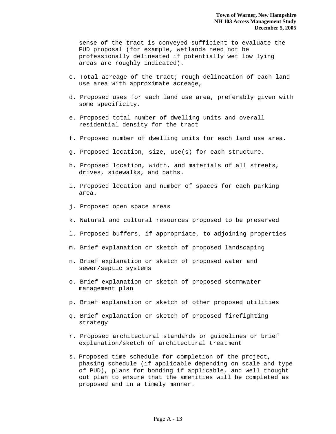sense of the tract is conveyed sufficient to evaluate the PUD proposal (for example, wetlands need not be professionally delineated if potentially wet low lying areas are roughly indicated).

- c. Total acreage of the tract; rough delineation of each land use area with approximate acreage,
- d. Proposed uses for each land use area, preferably given with some specificity.
- e. Proposed total number of dwelling units and overall residential density for the tract
- f. Proposed number of dwelling units for each land use area.
- g. Proposed location, size, use(s) for each structure.
- h. Proposed location, width, and materials of all streets, drives, sidewalks, and paths.
- i. Proposed location and number of spaces for each parking area.
- j. Proposed open space areas
- k. Natural and cultural resources proposed to be preserved
- l. Proposed buffers, if appropriate, to adjoining properties
- m. Brief explanation or sketch of proposed landscaping
- n. Brief explanation or sketch of proposed water and sewer/septic systems
- o. Brief explanation or sketch of proposed stormwater management plan
- p. Brief explanation or sketch of other proposed utilities
- q. Brief explanation or sketch of proposed firefighting strategy
- r. Proposed architectural standards or guidelines or brief explanation/sketch of architectural treatment
- s. Proposed time schedule for completion of the project, phasing schedule (if applicable depending on scale and type of PUD), plans for bonding if applicable, and well thought out plan to ensure that the amenities will be completed as proposed and in a timely manner.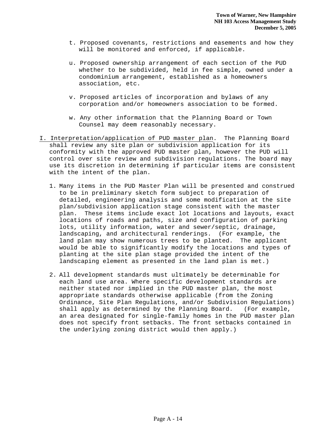- t. Proposed covenants, restrictions and easements and how they will be monitored and enforced, if applicable.
- u. Proposed ownership arrangement of each section of the PUD whether to be subdivided, held in fee simple, owned under a condominium arrangement, established as a homeowners association, etc.
- v. Proposed articles of incorporation and bylaws of any corporation and/or homeowners association to be formed.
- w. Any other information that the Planning Board or Town Counsel may deem reasonably necessary.
- I. Interpretation/application of PUD master plan. The Planning Board shall review any site plan or subdivision application for its conformity with the approved PUD master plan, however the PUD will control over site review and subdivision regulations. The board may use its discretion in determining if particular items are consistent with the intent of the plan.
	- 1. Many items in the PUD Master Plan will be presented and construed to be in preliminary sketch form subject to preparation of detailed, engineering analysis and some modification at the site plan/subdivision application stage consistent with the master plan. These items include exact lot locations and layouts, exact locations of roads and paths, size and configuration of parking lots, utility information, water and sewer/septic, drainage, landscaping, and architectural renderings. (For example, the land plan may show numerous trees to be planted. The applicant would be able to significantly modify the locations and types of planting at the site plan stage provided the intent of the landscaping element as presented in the land plan is met.)
	- 2. All development standards must ultimately be determinable for each land use area. Where specific development standards are neither stated nor implied in the PUD master plan, the most appropriate standards otherwise applicable (from the Zoning Ordinance, Site Plan Regulations, and/or Subdivision Regulations) shall apply as determined by the Planning Board. (For example, an area designated for single-family homes in the PUD master plan does not specify front setbacks. The front setbacks contained in the underlying zoning district would then apply.)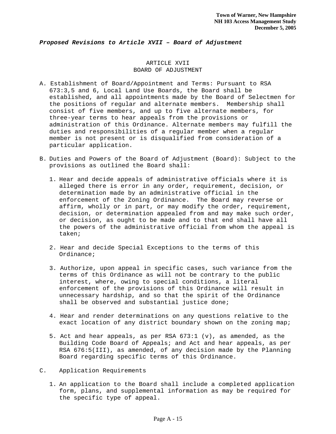#### *Proposed Revisions to Article XVII – Board of Adjustment*

#### ARTICLE XVII BOARD OF ADJUSTMENT

- A. Establishment of Board/Appointment and Terms: Pursuant to RSA 673:3,5 and 6, Local Land Use Boards, the Board shall be established, and all appointments made by the Board of Selectmen for the positions of regular and alternate members. Membership shall consist of five members, and up to five alternate members, for three-year terms to hear appeals from the provisions or administration of this Ordinance. Alternate members may fulfill the duties and responsibilities of a regular member when a regular member is not present or is disqualified from consideration of a particular application.
- B. Duties and Powers of the Board of Adjustment (Board): Subject to the provisions as outlined the Board shall:
	- 1. Hear and decide appeals of administrative officials where it is alleged there is error in any order, requirement, decision, or determination made by an administrative official in the enforcement of the Zoning Ordinance. The Board may reverse or affirm, wholly or in part, or may modify the order, requirement, decision, or determination appealed from and may make such order, or decision, as ought to be made and to that end shall have all the powers of the administrative official from whom the appeal is taken;
	- 2. Hear and decide Special Exceptions to the terms of this Ordinance;
	- 3. Authorize, upon appeal in specific cases, such variance from the terms of this Ordinance as will not be contrary to the public interest, where, owing to special conditions, a literal enforcement of the provisions of this Ordinance will result in unnecessary hardship, and so that the spirit of the Ordinance shall be observed and substantial justice done;
	- 4. Hear and render determinations on any questions relative to the exact location of any district boundary shown on the zoning map;
	- 5. Act and hear appeals, as per RSA 673:1 (v), as amended, as the Building Code Board of Appeals; and Act and hear appeals, as per RSA 676:5(III), as amended, of any decision made by the Planning Board regarding specific terms of this Ordinance.
- C. Application Requirements
	- 1. An application to the Board shall include a completed application form, plans, and supplemental information as may be required for the specific type of appeal.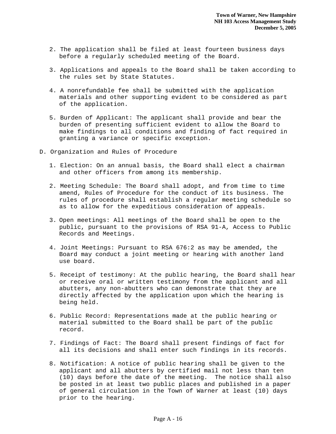- 2. The application shall be filed at least fourteen business days before a regularly scheduled meeting of the Board.
- 3. Applications and appeals to the Board shall be taken according to the rules set by State Statutes.
- 4. A nonrefundable fee shall be submitted with the application materials and other supporting evident to be considered as part of the application.
- 5. Burden of Applicant: The applicant shall provide and bear the burden of presenting sufficient evident to allow the Board to make findings to all conditions and finding of fact required in granting a variance or specific exception.
- D. Organization and Rules of Procedure
	- 1. Election: On an annual basis, the Board shall elect a chairman and other officers from among its membership.
	- 2. Meeting Schedule: The Board shall adopt, and from time to time amend, Rules of Procedure for the conduct of its business. The rules of procedure shall establish a regular meeting schedule so as to allow for the expeditious consideration of appeals.
	- 3. Open meetings: All meetings of the Board shall be open to the public, pursuant to the provisions of RSA 91-A, Access to Public Records and Meetings.
	- 4. Joint Meetings: Pursuant to RSA 676:2 as may be amended, the Board may conduct a joint meeting or hearing with another land use board.
	- 5. Receipt of testimony: At the public hearing, the Board shall hear or receive oral or written testimony from the applicant and all abutters, any non-abutters who can demonstrate that they are directly affected by the application upon which the hearing is being held.
	- 6. Public Record: Representations made at the public hearing or material submitted to the Board shall be part of the public record.
	- 7. Findings of Fact: The Board shall present findings of fact for all its decisions and shall enter such findings in its records.
	- 8. Notification: A notice of public hearing shall be given to the applicant and all abutters by certified mail not less than ten (10) days before the date of the meeting. The notice shall also be posted in at least two public places and published in a paper of general circulation in the Town of Warner at least (10) days prior to the hearing.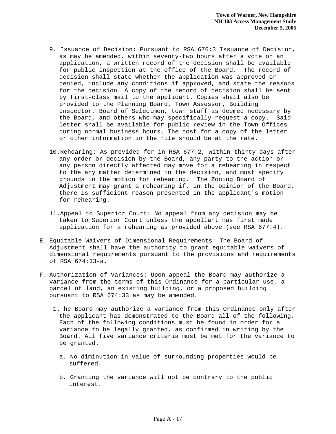- 9. Issuance of Decision: Pursuant to RSA 676:3 Issuance of Decision, as may be amended, within seventy-two hours after a vote on an application, a written record of the decision shall be available for public inspection at the office of the Board. The record of decision shall state whether the application was approved or denied, include any conditions if approved, and state the reasons for the decision. A copy of the record of decision shall be sent by first-class mail to the applicant. Copies shall also be provided to the Planning Board, Town Assessor, Building Inspector, Board of Selectmen, town staff as deemed necessary by the Board, and others who may specifically request a copy. Said letter shall be available for public review in the Town Offices during normal business hours. The cost for a copy of the letter or other information in the file should be at the rate.
- 10.Rehearing: As provided for in RSA 677:2, within thirty days after any order or decision by the Board, any party to the action or any person directly affected may move for a rehearing in respect to the any matter determined in the decision, and must specify grounds in the motion for rehearing. The Zoning Board of Adjustment may grant a rehearing if, in the opinion of the Board, there is sufficient reason presented in the applicant's motion for rehearing.
- 11.Appeal to Superior Court: No appeal from any decision may be taken to Superior Court unless the appellant has first made application for a rehearing as provided above (see RSA 677:4).
- E. Equitable Waivers of Dimensional Requirements: The Board of Adjustment shall have the authority to grant equitable waivers of dimensional requirements pursuant to the provisions and requirements of RSA 674:33-a.
- F. Authorization of Variances: Upon appeal the Board may authorize a variance from the terms of this Ordinance for a particular use, a parcel of land, an existing building, or a proposed building pursuant to RSA 674:33 as may be amended.
	- 1.The Board may authorize a variance from this Ordinance only after the applicant has demonstrated to the Board all of the following. Each of the following conditions must be found in order for a variance to be legally granted, as confirmed in writing by the Board. All five variance criteria must be met for the variance to be granted.
		- a. No diminution in value of surrounding properties would be suffered.
		- b. Granting the variance will not be contrary to the public interest.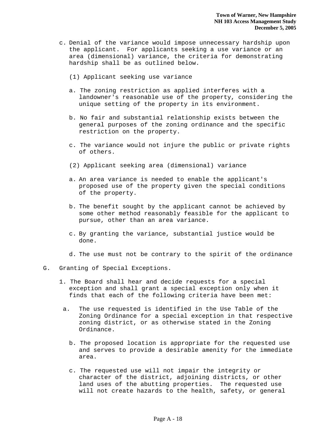- c. Denial of the variance would impose unnecessary hardship upon the applicant. For applicants seeking a use variance or an area (dimensional) variance, the criteria for demonstrating hardship shall be as outlined below.
	- (1) Applicant seeking use variance
	- a. The zoning restriction as applied interferes with a landowner's reasonable use of the property, considering the unique setting of the property in its environment.
	- b. No fair and substantial relationship exists between the general purposes of the zoning ordinance and the specific restriction on the property.
	- c. The variance would not injure the public or private rights of others.
	- (2) Applicant seeking area (dimensional) variance
	- a. An area variance is needed to enable the applicant's proposed use of the property given the special conditions of the property.
	- b. The benefit sought by the applicant cannot be achieved by some other method reasonably feasible for the applicant to pursue, other than an area variance.
	- c. By granting the variance, substantial justice would be done.
	- d. The use must not be contrary to the spirit of the ordinance
- G. Granting of Special Exceptions.
	- 1. The Board shall hear and decide requests for a special exception and shall grant a special exception only when it finds that each of the following criteria have been met:
	- a. The use requested is identified in the Use Table of the Zoning Ordinance for a special exception in that respective zoning district, or as otherwise stated in the Zoning Ordinance.
		- b. The proposed location is appropriate for the requested use and serves to provide a desirable amenity for the immediate area.
		- c. The requested use will not impair the integrity or character of the district, adjoining districts, or other land uses of the abutting properties. The requested use will not create hazards to the health, safety, or general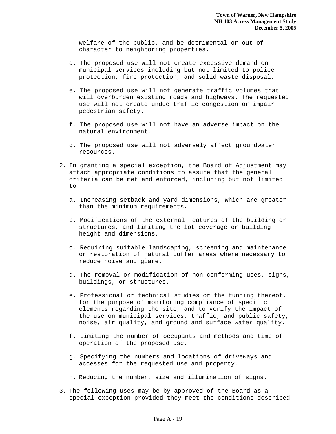welfare of the public, and be detrimental or out of character to neighboring properties.

- d. The proposed use will not create excessive demand on municipal services including but not limited to police protection, fire protection, and solid waste disposal.
- e. The proposed use will not generate traffic volumes that will overburden existing roads and highways. The requested use will not create undue traffic congestion or impair pedestrian safety.
- f. The proposed use will not have an adverse impact on the natural environment.
- g. The proposed use will not adversely affect groundwater resources.
- 2. In granting a special exception, the Board of Adjustment may attach appropriate conditions to assure that the general criteria can be met and enforced, including but not limited to:
	- a. Increasing setback and yard dimensions, which are greater than the minimum requirements.
	- b. Modifications of the external features of the building or structures, and limiting the lot coverage or building height and dimensions.
	- c. Requiring suitable landscaping, screening and maintenance or restoration of natural buffer areas where necessary to reduce noise and glare.
	- d. The removal or modification of non-conforming uses, signs, buildings, or structures.
	- e. Professional or technical studies or the funding thereof, for the purpose of monitoring compliance of specific elements regarding the site, and to verify the impact of the use on municipal services, traffic, and public safety, noise, air quality, and ground and surface water quality.
	- f. Limiting the number of occupants and methods and time of operation of the proposed use.
	- g. Specifying the numbers and locations of driveways and accesses for the requested use and property.
	- h. Reducing the number, size and illumination of signs.
- 3. The following uses may be by approved of the Board as a special exception provided they meet the conditions described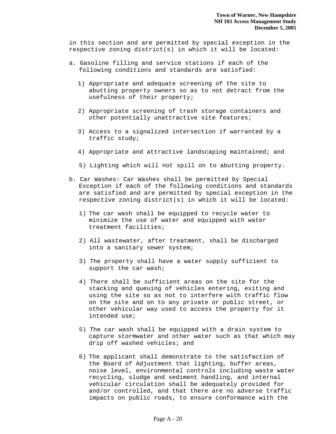in this section and are permitted by special exception in the respective zoning district(s) in which it will be located:

- a. Gasoline filling and service stations if each of the following conditions and standards are satisfied:
	- 1) Appropriate and adequate screening of the site to abutting property owners so as to not detract from the usefulness of their property;
	- 2) Appropriate screening of trash storage containers and other potentially unattractive site features;
	- 3) Access to a signalized intersection if warranted by a traffic study;
	- 4) Appropriate and attractive landscaping maintained; and
	- 5) Lighting which will not spill on to abutting property.
- b. Car Washes: Car Washes shall be permitted by Special Exception if each of the following conditions and standards are satisfied and are permitted by special exception in the respective zoning district(s) in which it will be located:
	- 1) The car wash shall be equipped to recycle water to minimize the use of water and equipped with water treatment facilities;
	- 2) All wastewater, after treatment, shall be discharged into a sanitary sewer system;
	- 3) The property shall have a water supply sufficient to support the car wash;
	- 4) There shall be sufficient areas on the site for the stacking and queuing of vehicles entering, exiting and using the site so as not to interfere with traffic flow on the site and on to any private or public street, or other vehicular way used to access the property for it intended use;
	- 5) The car wash shall be equipped with a drain system to capture stormwater and other water such as that which may drip off washed vehicles; and
	- 6) The applicant shall demonstrate to the satisfaction of the Board of Adjustment that lighting, buffer areas, noise level, environmental controls including waste water recycling, sludge and sediment handling, and internal vehicular circulation shall be adequately provided for and/or controlled, and that there are no adverse traffic impacts on public roads, to ensure conformance with the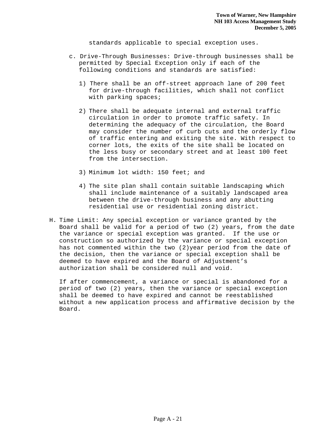standards applicable to special exception uses.

- c. Drive-Through Businesses: Drive-through businesses shall be permitted by Special Exception only if each of the following conditions and standards are satisfied:
	- 1) There shall be an off-street approach lane of 200 feet for drive-through facilities, which shall not conflict with parking spaces;
	- 2) There shall be adequate internal and external traffic circulation in order to promote traffic safety. In determining the adequacy of the circulation, the Board may consider the number of curb cuts and the orderly flow of traffic entering and exiting the site. With respect to corner lots, the exits of the site shall be located on the less busy or secondary street and at least 100 feet from the intersection.
	- 3) Minimum lot width: 150 feet; and
	- 4) The site plan shall contain suitable landscaping which shall include maintenance of a suitably landscaped area between the drive-through business and any abutting residential use or residential zoning district.
- H. Time Limit: Any special exception or variance granted by the Board shall be valid for a period of two (2) years, from the date the variance or special exception was granted. If the use or construction so authorized by the variance or special exception has not commented within the two (2)year period from the date of the decision, then the variance or special exception shall be deemed to have expired and the Board of Adjustment's authorization shall be considered null and void.

If after commencement, a variance or special is abandoned for a period of two (2) years, then the variance or special exception shall be deemed to have expired and cannot be reestablished without a new application process and affirmative decision by the Board.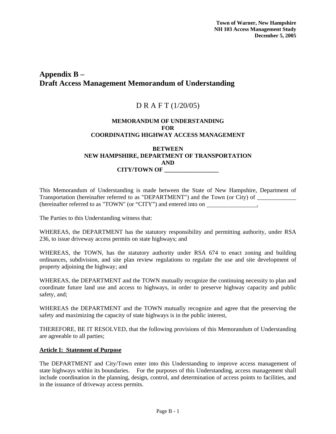## **Appendix B – Draft Access Management Memorandum of Understanding**

# D R A F T (1/20/05)

### **MEMORANDUM OF UNDERSTANDING FOR COORDINATING HIGHWAY ACCESS MANAGEMENT**

### **BETWEEN NEW HAMPSHIRE, DEPARTMENT OF TRANSPORTATION AND CITY/TOWN OF \_\_\_\_\_\_\_\_\_\_\_\_\_\_\_\_\_\_**

This Memorandum of Understanding is made between the State of New Hampshire, Department of Transportation (hereinafter referred to as "DEPARTMENT") and the Town (or City) of (hereinafter referred to as "TOWN" (or "CITY") and entered into on .

The Parties to this Understanding witness that:

WHEREAS, the DEPARTMENT has the statutory responsibility and permitting authority, under RSA 236, to issue driveway access permits on state highways; and

WHEREAS, the TOWN, has the statutory authority under RSA 674 to enact zoning and building ordinances, subdivision, and site plan review regulations to regulate the use and site development of property adjoining the highway; and

WHEREAS, the DEPARTMENT and the TOWN mutually recognize the continuing necessity to plan and coordinate future land use and access to highways, in order to preserve highway capacity and public safety, and;

WHEREAS the DEPARTMENT and the TOWN mutually recognize and agree that the preserving the safety and maximizing the capacity of state highways is in the public interest,

THEREFORE, BE IT RESOLVED, that the following provisions of this Memorandum of Understanding are agreeable to all parties;

### **Article I: Statement of Purpose**

The DEPARTMENT and City/Town enter into this Understanding to improve access management of state highways within its boundaries. For the purposes of this Understanding, access management shall include coordination in the planning, design, control, and determination of access points to facilities, and in the issuance of driveway access permits.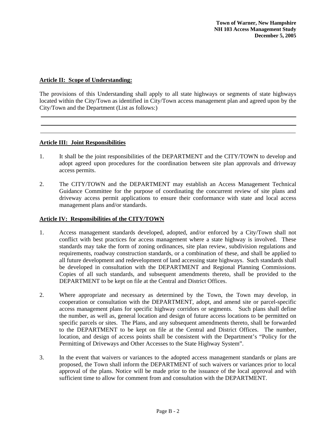### **Article II: Scope of Understanding:**

The provisions of this Understanding shall apply to all state highways or segments of state highways located within the City/Town as identified in City/Town access management plan and agreed upon by the City/Town and the Department (List as follows:)

### **Article III: Joint Responsibilities**

- 1. It shall be the joint responsibilities of the DEPARTMENT and the CITY/TOWN to develop and adopt agreed upon procedures for the coordination between site plan approvals and driveway access permits.
- 2. The CITY/TOWN and the DEPARTMENT may establish an Access Management Technical Guidance Committee for the purpose of coordinating the concurrent review of site plans and driveway access permit applications to ensure their conformance with state and local access management plans and/or standards.

### **Article IV: Responsibilities of the CITY/TOWN**

- 1. Access management standards developed, adopted, and/or enforced by a City/Town shall not conflict with best practices for access management where a state highway is involved. These standards may take the form of zoning ordinances, site plan review, subdivision regulations and requirements, roadway construction standards, or a combination of these, and shall be applied to all future development and redevelopment of land accessing state highways. Such standards shall be developed in consultation with the DEPARTMENT and Regional Planning Commissions. Copies of all such standards, and subsequent amendments thereto, shall be provided to the DEPARTMENT to be kept on file at the Central and District Offices.
- 2. Where appropriate and necessary as determined by the Town, the Town may develop, in cooperation or consultation with the DEPARTMENT, adopt, and amend site or parcel-specific access management plans for specific highway corridors or segments. Such plans shall define the number, as well as, general location and design of future access locations to be permitted on specific parcels or sites. The Plans, and any subsequent amendments thereto, shall be forwarded to the DEPARTMENT to be kept on file at the Central and District Offices. The number, location, and design of access points shall be consistent with the Department's "Policy for the Permitting of Driveways and Other Accesses to the State Highway System".
- 3. In the event that waivers or variances to the adopted access management standards or plans are proposed, the Town shall inform the DEPARTMENT of such waivers or variances prior to local approval of the plans. Notice will be made prior to the issuance of the local approval and with sufficient time to allow for comment from and consultation with the DEPARTMENT.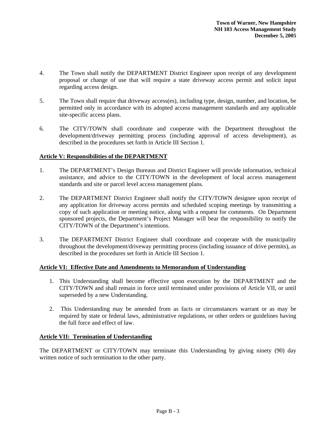- 4. The Town shall notify the DEPARTMENT District Engineer upon receipt of any development proposal or change of use that will require a state driveway access permit and solicit input regarding access design.
- 5. The Town shall require that driveway access(es), including type, design, number, and location, be permitted only in accordance with its adopted access management standards and any applicable site-specific access plans.
- 6. The CITY/TOWN shall coordinate and cooperate with the Department throughout the development/driveway permitting process (including approval of access development), as described in the procedures set forth in Article III Section 1.

### **Article V: Responsibilities of the DEPARTMENT**

- 1. The DEPARTMENT's Design Bureaus and District Engineer will provide information, technical assistance, and advice to the CITY/TOWN in the development of local access management standards and site or parcel level access management plans.
- 2. The DEPARTMENT District Engineer shall notify the CITY/TOWN designee upon receipt of any application for driveway access permits and scheduled scoping meetings by transmitting a copy of such application or meeting notice, along with a request for comments. On Department sponsored projects, the Department's Project Manager will bear the responsibility to notify the CITY/TOWN of the Department's intentions.
- 3. The DEPARTMENT District Engineer shall coordinate and cooperate with the municipality throughout the development/driveway permitting process (including issuance of drive permits), as described in the procedures set forth in Article III Section 1.

### **Article VI: Effective Date and Amendments to Memorandum of Understanding**

- 1. This Understanding shall become effective upon execution by the DEPARTMENT and the CITY/TOWN and shall remain in force until terminated under provisions of Article VII, or until superseded by a new Understanding.
- 2. This Understanding may be amended from as facts or circumstances warrant or as may be required by state or federal laws, administrative regulations, or other orders or guidelines having the full force and effect of law.

### **Article VII: Termination of Understanding**

The DEPARTMENT or CITY/TOWN may terminate this Understanding by giving ninety (90) day written notice of such termination to the other party.